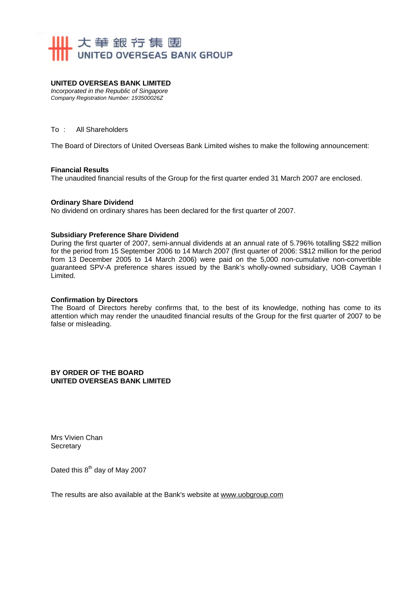

#### **UNITED OVERSEAS BANK LIMITED**

*Incorporated in the Republic of Singapore Company Registration Number: 193500026Z* 

#### To : All Shareholders

The Board of Directors of United Overseas Bank Limited wishes to make the following announcement:

#### **Financial Results**

The unaudited financial results of the Group for the first quarter ended 31 March 2007 are enclosed.

#### **Ordinary Share Dividend**

No dividend on ordinary shares has been declared for the first quarter of 2007.

#### **Subsidiary Preference Share Dividend**

During the first quarter of 2007, semi-annual dividends at an annual rate of 5.796% totalling S\$22 million for the period from 15 September 2006 to 14 March 2007 (first quarter of 2006: S\$12 million for the period from 13 December 2005 to 14 March 2006) were paid on the 5,000 non-cumulative non-convertible guaranteed SPV-A preference shares issued by the Bank's wholly-owned subsidiary, UOB Cayman I Limited.

#### **Confirmation by Directors**

The Board of Directors hereby confirms that, to the best of its knowledge, nothing has come to its attention which may render the unaudited financial results of the Group for the first quarter of 2007 to be false or misleading.

**BY ORDER OF THE BOARD UNITED OVERSEAS BANK LIMITED** 

Mrs Vivien Chan **Secretary** 

Dated this 8<sup>th</sup> day of May 2007

The results are also available at the Bank's website at www.uobgroup.com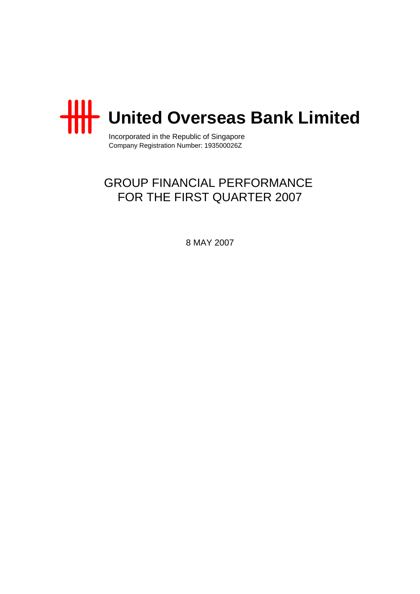

Incorporated in the Republic of Singapore Company Registration Number: 193500026Z

# GROUP FINANCIAL PERFORMANCE FOR THE FIRST QUARTER 2007

8 MAY 2007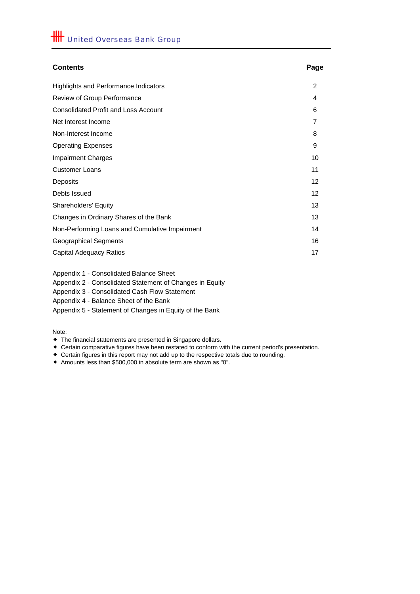# **Contents Page** Highlights and Performance Indicators 2 Review of Group Performance 4 Consolidated Profit and Loss Account 6 Net Interest Income 7 Non-Interest Income 8 Operating Expenses 9 Impairment Charges 10 **Customer Loans** 11 Deposits 12 Debts Issued 12 Shareholders' Equity 13 Changes in Ordinary Shares of the Bank 13 Non-Performing Loans and Cumulative Impairment 14 Geographical Segments 16 Capital Adequacy Ratios 17

Appendix 1 - Consolidated Balance Sheet

Appendix 2 - Consolidated Statement of Changes in Equity

Appendix 3 - Consolidated Cash Flow Statement

Appendix 4 - Balance Sheet of the Bank

Appendix 5 - Statement of Changes in Equity of the Bank

Note:

- The financial statements are presented in Singapore dollars.
- Certain comparative figures have been restated to conform with the current period's presentation.
- Certain figures in this report may not add up to the respective totals due to rounding.
- Amounts less than \$500,000 in absolute term are shown as "0".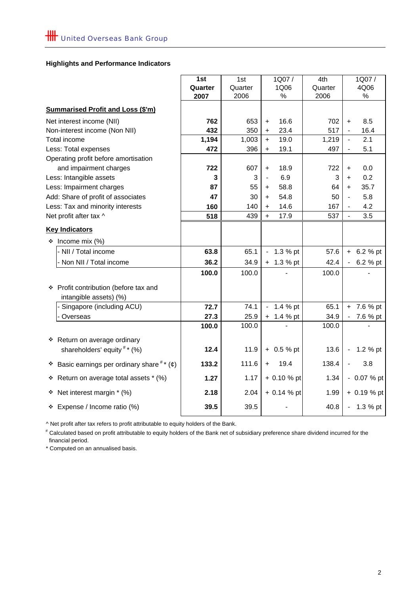# **Highlights and Performance Indicators**

|                                                                 | 1st     | 1st     | 1Q07/                                  | 4th     | 1Q07/                           |
|-----------------------------------------------------------------|---------|---------|----------------------------------------|---------|---------------------------------|
|                                                                 | Quarter | Quarter | 1Q06                                   | Quarter | 4Q06                            |
|                                                                 | 2007    | 2006    | $\%$                                   | 2006    | $\%$                            |
| <b>Summarised Profit and Loss (\$'m)</b>                        |         |         |                                        |         |                                 |
| Net interest income (NII)                                       | 762     | 653     | 16.6<br>+                              | 702     | 8.5<br>$\ddot{}$                |
| Non-interest income (Non NII)                                   | 432     | 350     | 23.4<br>$\ddot{}$                      | 517     | 16.4                            |
| Total income                                                    | 1,194   | 1,003   | 19.0<br>$\ddot{}$                      | 1,219   | 2.1<br>$\overline{a}$           |
| Less: Total expenses                                            | 472     | 396     | 19.1<br>+                              | 497     | 5.1<br>$\overline{\phantom{0}}$ |
| Operating profit before amortisation                            |         |         |                                        |         |                                 |
| and impairment charges                                          | 722     | 607     | 18.9<br>$\ddot{}$                      | 722     | 0.0<br>+                        |
| Less: Intangible assets                                         | 3       | 3       | 6.9<br>$\frac{1}{2}$                   | 3       | 0.2<br>$\ddot{}$                |
| Less: Impairment charges                                        | 87      | 55      | 58.8<br>+                              | 64      | 35.7<br>$\ddot{}$               |
| Add: Share of profit of associates                              | 47      | 30      | 54.8<br>$+$                            | 50      | 5.8<br>$\blacksquare$           |
| Less: Tax and minority interests                                | 160     | 140     | 14.6<br>$+$                            | 167     | 4.2                             |
| Net profit after tax ^                                          | 518     | 439     | 17.9<br>$\ddot{}$                      | 537     | 3.5                             |
| <b>Key Indicators</b>                                           |         |         |                                        |         |                                 |
| * Income mix (%)                                                |         |         |                                        |         |                                 |
| - NII / Total income                                            | 63.8    | 65.1    | 1.3 $%$ pt<br>$\overline{\phantom{0}}$ | 57.6    | $+ 6.2 %$ pt                    |
| - Non NII / Total income                                        | 36.2    | 34.9    | $+ 1.3 %$ pt                           | 42.4    | 6.2 % pt                        |
|                                                                 | 100.0   | 100.0   |                                        | 100.0   |                                 |
| ❖ Profit contribution (before tax and<br>intangible assets) (%) |         |         |                                        |         |                                 |
| Singapore (including ACU)                                       | 72.7    | 74.1    | 1.4 % pt                               | 65.1    | $+ 7.6 %$ pt                    |
| Overseas                                                        | 27.3    | 25.9    | $+ 1.4 %$ pt                           | 34.9    | 7.6 % pt                        |
|                                                                 | 100.0   | 100.0   |                                        | 100.0   |                                 |
| * Return on average ordinary                                    |         |         |                                        |         |                                 |
| shareholders' equity $**(\%)$                                   | 12.4    | 11.9    | $+ 0.5 %$ pt                           | 13.6    | 1.2 % pt<br>$\sim$              |
| Basic earnings per ordinary share $\pi$ ( $\phi$ )<br>❖         | 133.2   | 111.6   | 19.4<br>$+$                            | 138.4   | 3.8<br>$\overline{a}$           |
| Return on average total assets * (%)<br>٠                       | 1.27    | 1.17    | + 0.10 % pt                            | 1.34    | - 0.07 % pt                     |
| Net interest margin * (%)<br>❖                                  | 2.18    | 2.04    | $+ 0.14 %$ pt                          | 1.99    | + 0.19 % pt                     |
| * Expense / Income ratio (%)                                    | 39.5    | 39.5    |                                        | 40.8    | $-1.3%$ pt                      |

^ Net profit after tax refers to profit attributable to equity holders of the Bank.

 financial period. # Calculated based on profit attributable to equity holders of the Bank net of subsidiary preference share dividend incurred for the

\* Computed on an annualised basis.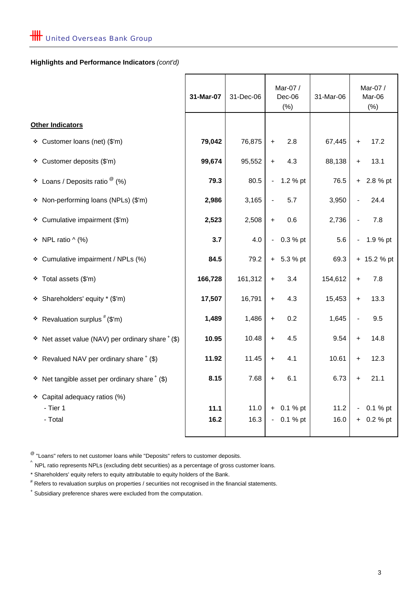# **Highlights and Performance Indicators** *(cont'd)*

|                                                         | 31-Mar-07    | 31-Dec-06    | Mar-07 /<br>Dec-06<br>31-Mar-06<br>(% )       |              |                | Mar-07 /<br>Mar-06<br>(% ) |  |
|---------------------------------------------------------|--------------|--------------|-----------------------------------------------|--------------|----------------|----------------------------|--|
| <b>Other Indicators</b>                                 |              |              |                                               |              |                |                            |  |
| ❖ Customer loans (net) (\$'m)                           | 79,042       | 76,875       | 2.8<br>$\ddot{}$                              | 67,445       | $\ddot{}$      | 17.2                       |  |
| ❖ Customer deposits (\$'m)                              | 99,674       | 95,552       | 4.3<br>$\ddot{}$                              | 88,138       | $+$            | 13.1                       |  |
| Loans / Deposits ratio $^\circledR$ (%)<br>٠            | 79.3         | 80.5         | 1.2 % pt<br>$\overline{\phantom{a}}$          | 76.5         | $+$            | 2.8 % pt                   |  |
| * Non-performing loans (NPLs) (\$'m)                    | 2,986        | 3,165        | 5.7                                           | 3,950        |                | 24.4                       |  |
| Cumulative impairment (\$'m)<br>❖                       | 2,523        | 2,508        | 0.6<br>$\ddot{}$                              | 2,736        |                | 7.8                        |  |
| NPL ratio $\wedge$ (%)<br>۰                             | 3.7          | 4.0          | 0.3 % pt<br>$\overline{\phantom{a}}$          | 5.6          | $\blacksquare$ | 1.9 % pt                   |  |
| Cumulative impairment / NPLs (%)<br>÷                   | 84.5         | 79.2         | $+ 5.3 %$ pt                                  | 69.3         |                | + 15.2 % pt                |  |
| Total assets (\$'m)<br>۰                                | 166,728      | 161,312      | 3.4<br>$\ddot{}$                              | 154,612      | $\ddot{}$      | 7.8                        |  |
| Shareholders' equity * (\$'m)<br>❖                      | 17,507       | 16,791       | 4.3<br>$+$                                    | 15,453       | $+$            | 13.3                       |  |
| * Revaluation surplus $#$ (\$'m)                        | 1,489        | 1,486        | 0.2<br>$\ddot{}$                              | 1,645        |                | 9.5                        |  |
| $\div$ Net asset value (NAV) per ordinary share $*(\$)$ | 10.95        | 10.48        | 4.5<br>$+$                                    | 9.54         | $+$            | 14.8                       |  |
| * Revalued NAV per ordinary share $*(\$)$               | 11.92        | 11.45        | 4.1<br>$\ddot{}$                              | 10.61        | $\ddot{}$      | 12.3                       |  |
| Net tangible asset per ordinary share + (\$)<br>٠       | 8.15         | 7.68         | 6.1<br>$\ddot{}$                              | 6.73         | $\ddot{}$      | 21.1                       |  |
| * Capital adequacy ratios (%)                           |              |              |                                               |              |                |                            |  |
| - Tier 1<br>- Total                                     | 11.1<br>16.2 | 11.0<br>16.3 | 0.1 % pt<br>$+$<br>0.1 % pt<br>$\blacksquare$ | 11.2<br>16.0 | $+$            | 0.1 % pt<br>0.2 % pt       |  |
|                                                         |              |              |                                               |              |                |                            |  |

 $^{\circledR}$  "Loans" refers to net customer loans while "Deposits" refers to customer deposits.

 $\hat{ }$  NPL ratio represents NPLs (excluding debt securities) as a percentage of gross customer loans.

\* Shareholders' equity refers to equity attributable to equity holders of the Bank.

# Refers to revaluation surplus on properties / securities not recognised in the financial statements.

+ Subsidiary preference shares were excluded from the computation.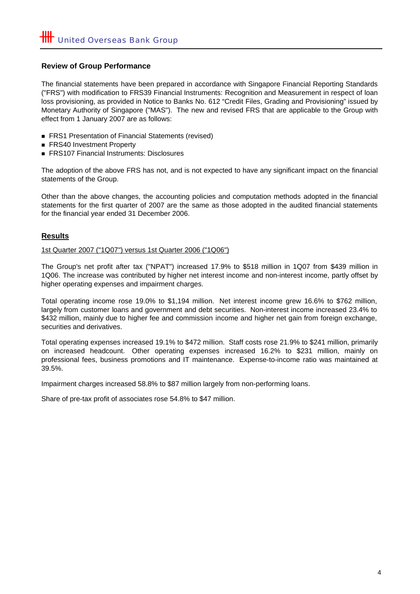# **Review of Group Performance**

The financial statements have been prepared in accordance with Singapore Financial Reporting Standards ("FRS") with modification to FRS39 Financial Instruments: Recognition and Measurement in respect of loan loss provisioning, as provided in Notice to Banks No. 612 "Credit Files, Grading and Provisioning" issued by Monetary Authority of Singapore ("MAS"). The new and revised FRS that are applicable to the Group with effect from 1 January 2007 are as follows:

- FRS1 Presentation of Financial Statements (revised)
- FRS40 Investment Property
- **FRS107 Financial Instruments: Disclosures**

The adoption of the above FRS has not, and is not expected to have any significant impact on the financial statements of the Group.

Other than the above changes, the accounting policies and computation methods adopted in the financial statements for the first quarter of 2007 are the same as those adopted in the audited financial statements for the financial year ended 31 December 2006.

# **Results**

#### 1st Quarter 2007 ("1Q07") versus 1st Quarter 2006 ("1Q06")

The Group's net profit after tax ("NPAT") increased 17.9% to \$518 million in 1Q07 from \$439 million in 1Q06. The increase was contributed by higher net interest income and non-interest income, partly offset by higher operating expenses and impairment charges.

Total operating income rose 19.0% to \$1,194 million. Net interest income grew 16.6% to \$762 million, largely from customer loans and government and debt securities. Non-interest income increased 23.4% to \$432 million, mainly due to higher fee and commission income and higher net gain from foreign exchange, securities and derivatives.

Total operating expenses increased 19.1% to \$472 million. Staff costs rose 21.9% to \$241 million, primarily on increased headcount. Other operating expenses increased 16.2% to \$231 million, mainly on professional fees, business promotions and IT maintenance. Expense-to-income ratio was maintained at 39.5%.

Impairment charges increased 58.8% to \$87 million largely from non-performing loans.

Share of pre-tax profit of associates rose 54.8% to \$47 million.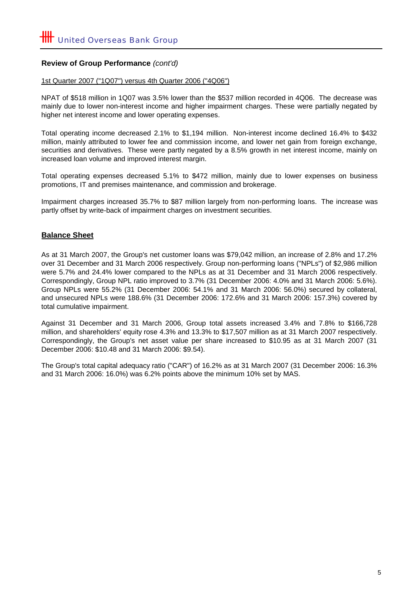# **Review of Group Performance** *(cont'd)*

#### 1st Quarter 2007 ("1Q07") versus 4th Quarter 2006 ("4Q06")

NPAT of \$518 million in 1Q07 was 3.5% lower than the \$537 million recorded in 4Q06. The decrease was mainly due to lower non-interest income and higher impairment charges. These were partially negated by higher net interest income and lower operating expenses.

Total operating income decreased 2.1% to \$1,194 million. Non-interest income declined 16.4% to \$432 million, mainly attributed to lower fee and commission income, and lower net gain from foreign exchange, securities and derivatives. These were partly negated by a 8.5% growth in net interest income, mainly on increased loan volume and improved interest margin.

Total operating expenses decreased 5.1% to \$472 million, mainly due to lower expenses on business promotions, IT and premises maintenance, and commission and brokerage.

Impairment charges increased 35.7% to \$87 million largely from non-performing loans. The increase was partly offset by write-back of impairment charges on investment securities.

# **Balance Sheet**

As at 31 March 2007, the Group's net customer loans was \$79,042 million, an increase of 2.8% and 17.2% over 31 December and 31 March 2006 respectively. Group non-performing loans ("NPLs") of \$2,986 million were 5.7% and 24.4% lower compared to the NPLs as at 31 December and 31 March 2006 respectively. Correspondingly, Group NPL ratio improved to 3.7% (31 December 2006: 4.0% and 31 March 2006: 5.6%). Group NPLs were 55.2% (31 December 2006: 54.1% and 31 March 2006: 56.0%) secured by collateral, and unsecured NPLs were 188.6% (31 December 2006: 172.6% and 31 March 2006: 157.3%) covered by total cumulative impairment.

Against 31 December and 31 March 2006, Group total assets increased 3.4% and 7.8% to \$166,728 million, and shareholders' equity rose 4.3% and 13.3% to \$17,507 million as at 31 March 2007 respectively. Correspondingly, the Group's net asset value per share increased to \$10.95 as at 31 March 2007 (31 December 2006: \$10.48 and 31 March 2006: \$9.54).

The Group's total capital adequacy ratio ("CAR") of 16.2% as at 31 March 2007 (31 December 2006: 16.3% and 31 March 2006: 16.0%) was 6.2% points above the minimum 10% set by MAS.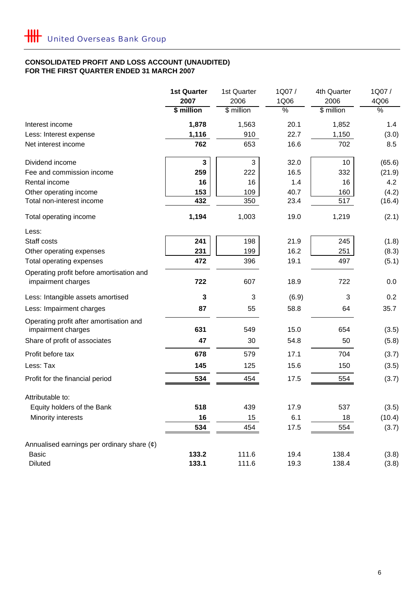# **CONSOLIDATED PROFIT AND LOSS ACCOUNT (UNAUDITED) FOR THE FIRST QUARTER ENDED 31 MARCH 2007**

|                                                                | <b>1st Quarter</b> | 1st Quarter        | 1Q07/                 | 4th Quarter        | 1Q07/                 |
|----------------------------------------------------------------|--------------------|--------------------|-----------------------|--------------------|-----------------------|
|                                                                | 2007<br>\$ million | 2006<br>\$ million | 1Q06<br>$\frac{0}{6}$ | 2006<br>\$ million | 4Q06<br>$\frac{8}{6}$ |
|                                                                |                    |                    |                       |                    |                       |
| Interest income                                                | 1,878              | 1,563              | 20.1                  | 1,852              | 1.4                   |
| Less: Interest expense                                         | 1,116              | 910                | 22.7                  | 1,150              | (3.0)                 |
| Net interest income                                            | 762                | 653                | 16.6                  | 702                | 8.5                   |
| Dividend income                                                | 3                  | 3                  | 32.0                  | 10                 | (65.6)                |
| Fee and commission income                                      | 259                | 222                | 16.5                  | 332                | (21.9)                |
| Rental income                                                  | 16                 | 16                 | 1.4                   | 16                 | 4.2                   |
| Other operating income                                         | 153                | 109                | 40.7                  | 160                | (4.2)                 |
| Total non-interest income                                      | 432                | 350                | 23.4                  | 517                | (16.4)                |
| Total operating income                                         | 1,194              | 1,003              | 19.0                  | 1,219              | (2.1)                 |
| Less:                                                          |                    |                    |                       |                    |                       |
| Staff costs                                                    | 241                | 198                | 21.9                  | 245                | (1.8)                 |
| Other operating expenses                                       | 231                | 199                | 16.2                  | 251                | (8.3)                 |
| Total operating expenses                                       | 472                | 396                | 19.1                  | 497                | (5.1)                 |
| Operating profit before amortisation and<br>impairment charges | 722                | 607                | 18.9                  | 722                | 0.0                   |
| Less: Intangible assets amortised                              | 3                  | 3                  | (6.9)                 | 3                  | 0.2                   |
| Less: Impairment charges                                       | 87                 | 55                 | 58.8                  | 64                 | 35.7                  |
| Operating profit after amortisation and<br>impairment charges  | 631                | 549                | 15.0                  | 654                | (3.5)                 |
| Share of profit of associates                                  | 47                 | 30                 | 54.8                  | 50                 | (5.8)                 |
| Profit before tax                                              | 678                | 579                | 17.1                  | 704                | (3.7)                 |
| Less: Tax                                                      | 145                | 125                | 15.6                  | 150                | (3.5)                 |
| Profit for the financial period                                | 534                | 454                | 17.5                  | 554                | (3.7)                 |
| Attributable to:                                               |                    |                    |                       |                    |                       |
| Equity holders of the Bank                                     | 518                | 439                | 17.9                  | 537                | (3.5)                 |
| Minority interests                                             | 16                 | 15                 | 6.1                   | 18                 | (10.4)                |
|                                                                | 534                | 454                | 17.5                  | 554                | (3.7)                 |
| Annualised earnings per ordinary share $(\phi)$                |                    |                    |                       |                    |                       |
| <b>Basic</b>                                                   | 133.2              | 111.6              | 19.4                  | 138.4              | (3.8)                 |
| <b>Diluted</b>                                                 | 133.1              | 111.6              | 19.3                  | 138.4              | (3.8)                 |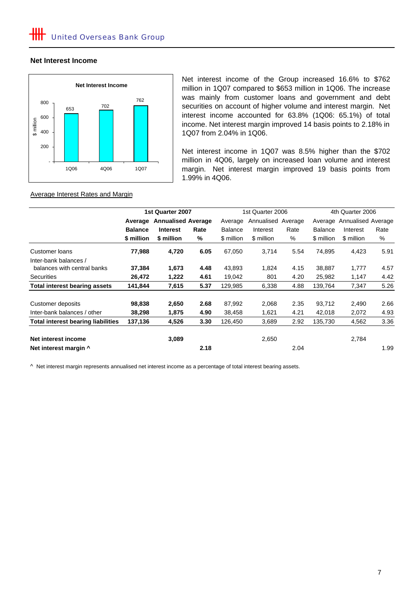### **Net Interest Income**



Net interest income of the Group increased 16.6% to \$762 million in 1Q07 compared to \$653 million in 1Q06. The increase was mainly from customer loans and government and debt securities on account of higher volume and interest margin. Net interest income accounted for 63.8% (1Q06: 65.1%) of total income. Net interest margin improved 14 basis points to 2.18% in 1Q07 from 2.04% in 1Q06.

Net interest income in 1Q07 was 8.5% higher than the \$702 million in 4Q06, largely on increased loan volume and interest margin. Net interest margin improved 19 basis points from 1.99% in 4Q06.

#### Average Interest Rates and Margin

|                                           |                | 1st Quarter 2007           |      |                | 1st Quarter 2006   |      |                | 4th Quarter 2006           |      |  |
|-------------------------------------------|----------------|----------------------------|------|----------------|--------------------|------|----------------|----------------------------|------|--|
|                                           |                | Average Annualised Average |      | Average        | Annualised Average |      |                | Average Annualised Average |      |  |
|                                           | <b>Balance</b> | <b>Interest</b>            | Rate | <b>Balance</b> | Interest           | Rate | <b>Balance</b> | Interest                   | Rate |  |
|                                           | \$ million     | \$ million                 | ℅    | \$ million     | \$ million         | %    | \$ million     | \$ million                 | %    |  |
| Customer loans                            | 77,988         | 4,720                      | 6.05 | 67,050         | 3,714              | 5.54 | 74,895         | 4,423                      | 5.91 |  |
| Inter-bank balances /                     |                |                            |      |                |                    |      |                |                            |      |  |
| balances with central banks               | 37,384         | 1,673                      | 4.48 | 43,893         | 1,824              | 4.15 | 38,887         | 1,777                      | 4.57 |  |
| <b>Securities</b>                         | 26,472         | 1,222                      | 4.61 | 19,042         | 801                | 4.20 | 25,982         | 1,147                      | 4.42 |  |
| <b>Total interest bearing assets</b>      | 141,844        | 7,615                      | 5.37 | 129,985        | 6,338              | 4.88 | 139,764        | 7,347                      | 5.26 |  |
| Customer deposits                         | 98,838         | 2,650                      | 2.68 | 87,992         | 2,068              | 2.35 | 93,712         | 2,490                      | 2.66 |  |
| Inter-bank balances / other               | 38,298         | 1,875                      | 4.90 | 38,458         | 1,621              | 4.21 | 42,018         | 2,072                      | 4.93 |  |
| <b>Total interest bearing liabilities</b> | 137,136        | 4,526                      | 3.30 | 126,450        | 3,689              | 2.92 | 135,730        | 4,562                      | 3.36 |  |
| Net interest income                       |                | 3,089                      |      |                | 2,650              |      |                | 2,784                      |      |  |
| Net interest margin ^                     |                |                            | 2.18 |                |                    | 2.04 |                |                            | 1.99 |  |

^ Net interest margin represents annualised net interest income as a percentage of total interest bearing assets.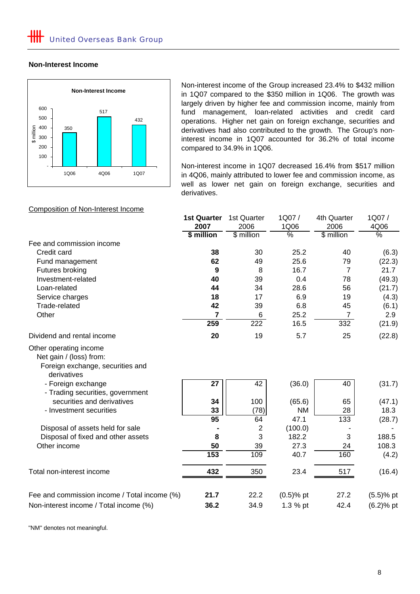#### **Non-Interest Income**



Non-interest income of the Group increased 23.4% to \$432 million in 1Q07 compared to the \$350 million in 1Q06. The growth was largely driven by higher fee and commission income, mainly from fund management, loan-related activities and credit card operations. Higher net gain on foreign exchange, securities and derivatives had also contributed to the growth. The Group's noninterest income in 1Q07 accounted for 36.2% of total income compared to 34.9% in 1Q06.

Non-interest income in 1Q07 decreased 16.4% from \$517 million in 4Q06, mainly attributed to lower fee and commission income, as well as lower net gain on foreign exchange, securities and derivatives.

|                                                                            | <b>1st Quarter</b> | 1st Quarter    | 1Q07/         | 4th Quarter    | 1Q07/         |
|----------------------------------------------------------------------------|--------------------|----------------|---------------|----------------|---------------|
|                                                                            | 2007               | 2006           | 1Q06          | 2006           | 4Q06          |
|                                                                            | \$ million         | \$ million     | $\frac{0}{2}$ | \$ million     | $\frac{0}{2}$ |
| Fee and commission income                                                  |                    |                |               |                |               |
| Credit card                                                                | 38                 | 30             | 25.2          | 40             | (6.3)         |
| Fund management                                                            | 62                 | 49             | 25.6          | 79             | (22.3)        |
| Futures broking                                                            | 9                  | 8              | 16.7          | 7              | 21.7          |
| Investment-related                                                         | 40                 | 39             | 0.4           | 78             | (49.3)        |
| Loan-related                                                               | 44                 | 34             | 28.6          | 56             | (21.7)        |
| Service charges                                                            | 18                 | 17             | 6.9           | 19             | (4.3)         |
| Trade-related                                                              | 42                 | 39             | 6.8           | 45             | (6.1)         |
| Other                                                                      | 7                  | 6              | 25.2          | $\overline{7}$ | 2.9           |
|                                                                            | 259                | 222            | 16.5          | 332            | (21.9)        |
| Dividend and rental income                                                 | 20                 | 19             | 5.7           | 25             | (22.8)        |
| Net gain / (loss) from:<br>Foreign exchange, securities and<br>derivatives |                    | 42             |               | 40             |               |
| - Foreign exchange<br>- Trading securities, government                     | 27                 |                | (36.0)        |                | (31.7)        |
| securities and derivatives                                                 | 34                 | 100            | (65.6)        | 65             | (47.1)        |
| - Investment securities                                                    | 33                 | (78)           | <b>NM</b>     | 28             | 18.3          |
|                                                                            | 95                 | 64             | 47.1          | 133            | (28.7)        |
| Disposal of assets held for sale                                           |                    | $\overline{2}$ | (100.0)       |                |               |
| Disposal of fixed and other assets                                         | 8                  | 3              | 182.2         | 3              | 188.5         |
| Other income                                                               | 50                 | 39             | 27.3          | 24             | 108.3         |
|                                                                            | 153                | 109            | 40.7          | 160            | (4.2)         |
| Total non-interest income                                                  | 432                | 350            | 23.4          | 517            | (16.4)        |
| Fee and commission income / Total income (%)                               | 21.7               | 22.2           | $(0.5)$ % pt  | 27.2           | $(5.5)$ % pt  |
| Non-interest income / Total income (%)                                     | 36.2               | 34.9           | 1.3 % pt      | 42.4           | $(6.2)$ % pt  |

"NM" denotes not meaningful.

### Composition of Non-Interest Income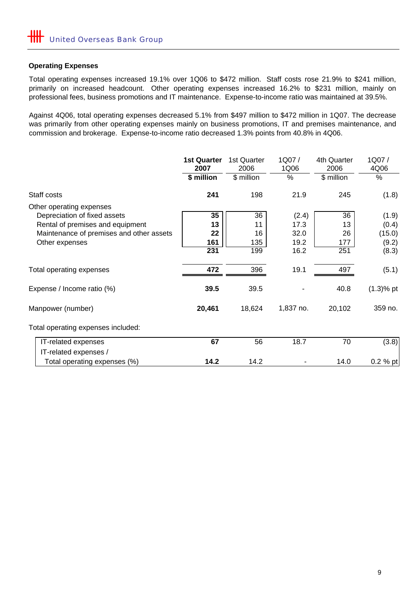# **Operating Expenses**

Total operating expenses increased 19.1% over 1Q06 to \$472 million. Staff costs rose 21.9% to \$241 million, primarily on increased headcount. Other operating expenses increased 16.2% to \$231 million, mainly on professional fees, business promotions and IT maintenance. Expense-to-income ratio was maintained at 39.5%.

Against 4Q06, total operating expenses decreased 5.1% from \$497 million to \$472 million in 1Q07. The decrease was primarily from other operating expenses mainly on business promotions, IT and premises maintenance, and commission and brokerage. Expense-to-income ratio decreased 1.3% points from 40.8% in 4Q06.

|                                          | <b>1st Quarter</b><br>2007 | 1st Quarter<br>2006 | 1Q07/<br>1Q06 | 4th Quarter<br>2006 | 1Q07/<br>4Q06 |
|------------------------------------------|----------------------------|---------------------|---------------|---------------------|---------------|
|                                          | \$ million                 | \$ million          | %             | \$ million          | $\%$          |
| Staff costs                              | 241                        | 198                 | 21.9          | 245                 | (1.8)         |
| Other operating expenses                 |                            |                     |               |                     |               |
| Depreciation of fixed assets             | 35                         | 36                  | (2.4)         | 36                  | (1.9)         |
| Rental of premises and equipment         | 13                         | 11                  | 17.3          | 13                  | (0.4)         |
| Maintenance of premises and other assets | 22                         | 16                  | 32.0          | 26                  | (15.0)        |
| Other expenses                           | 161                        | 135                 | 19.2          | 177                 | (9.2)         |
|                                          | 231                        | 199                 | 16.2          | 251                 | (8.3)         |
| Total operating expenses                 | 472                        | 396                 | 19.1          | 497                 | (5.1)         |
| Expense / Income ratio (%)               | 39.5                       | 39.5                |               | 40.8                | $(1.3)$ % pt  |
| Manpower (number)                        | 20,461                     | 18,624              | 1,837 no.     | 20,102              | 359 no.       |
| Total operating expenses included:       |                            |                     |               |                     |               |
| IT-related expenses                      | 67                         | 56                  | 18.7          | 70                  | (3.8)         |
| IT-related expenses /                    |                            |                     |               |                     |               |
| Total operating expenses (%)             | 14.2                       | 14.2                |               | 14.0                | $0.2 %$ pt    |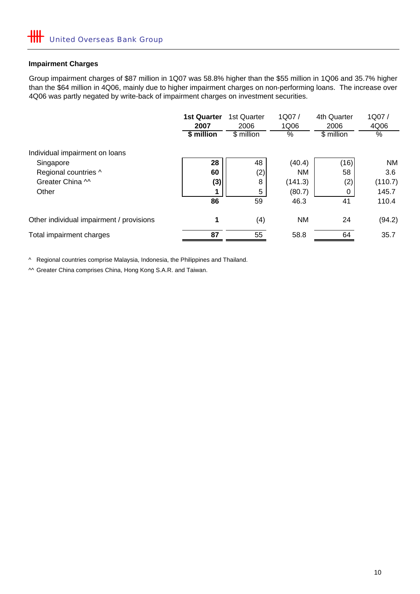# **Impairment Charges**

Group impairment charges of \$87 million in 1Q07 was 58.8% higher than the \$55 million in 1Q06 and 35.7% higher than the \$64 million in 4Q06, mainly due to higher impairment charges on non-performing loans. The increase over 4Q06 was partly negated by write-back of impairment charges on investment securities.

|                                          | <b>1st Quarter</b><br>2007<br>\$ million | 1st Quarter<br>2006<br>\$ million | 1Q07/<br>1Q06<br>$\%$ | 4th Quarter<br>2006<br>\$ million | 1Q07/<br>4Q06<br>% |
|------------------------------------------|------------------------------------------|-----------------------------------|-----------------------|-----------------------------------|--------------------|
| Individual impairment on loans           |                                          |                                   |                       |                                   |                    |
| Singapore                                | 28                                       | 48                                | (40.4)                | (16)                              | <b>NM</b>          |
| Regional countries ^                     | 60                                       | (2)                               | <b>NM</b>             | 58                                | 3.6                |
| Greater China M                          | (3)                                      | 8                                 | (141.3)               | (2)                               | (110.7)            |
| Other                                    |                                          | 5                                 | (80.7)                | 0                                 | 145.7              |
|                                          | 86                                       | 59                                | 46.3                  | 41                                | 110.4              |
| Other individual impairment / provisions | 1                                        | (4)                               | <b>NM</b>             | 24                                | (94.2)             |
| Total impairment charges                 | 87                                       | 55                                | 58.8                  | 64                                | 35.7               |

^ Regional countries comprise Malaysia, Indonesia, the Philippines and Thailand.

^^ Greater China comprises China, Hong Kong S.A.R. and Taiwan.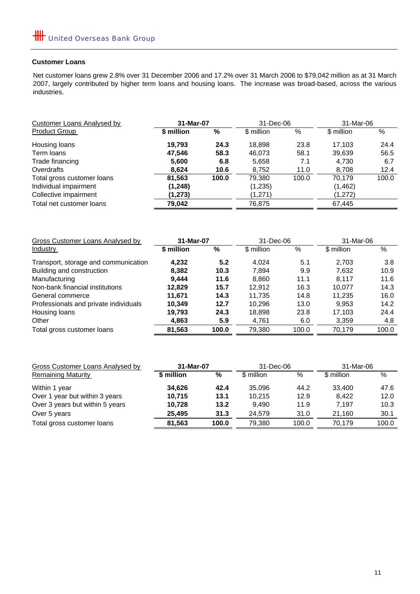#### **Customer Loans**

Net customer loans grew 2.8% over 31 December 2006 and 17.2% over 31 March 2006 to \$79,042 million as at 31 March 2007, largely contributed by higher term loans and housing loans. The increase was broad-based, across the various industries.

| Customer Loans Analysed by | 31-Mar-07  |       | 31-Dec-06  |       | 31-Mar-06  |       |
|----------------------------|------------|-------|------------|-------|------------|-------|
| <b>Product Group</b>       | \$ million | %     | \$ million | $\%$  | \$ million | %     |
| Housing loans              | 19.793     | 24.3  | 18,898     | 23.8  | 17.103     | 24.4  |
| Term loans                 | 47.546     | 58.3  | 46,073     | 58.1  | 39,639     | 56.5  |
| Trade financing            | 5,600      | 6.8   | 5,658      | 7.1   | 4,730      | 6.7   |
| Overdrafts                 | 8,624      | 10.6  | 8,752      | 11.0  | 8,708      | 12.4  |
| Total gross customer loans | 81,563     | 100.0 | 79,380     | 100.0 | 70.179     | 100.0 |
| Individual impairment      | (1, 248)   |       | (1,235)    |       | (1, 462)   |       |
| Collective impairment      | (1, 273)   |       | (1,271)    |       | (1,272)    |       |
| Total net customer loans   | 79,042     |       | 76,875     |       | 67,445     |       |

| Gross Customer Loans Analysed by      | 31-Mar-07  |       | 31-Dec-06  |       | 31-Mar-06  |       |
|---------------------------------------|------------|-------|------------|-------|------------|-------|
| Industry                              | \$ million | %     | \$ million | %     | \$ million | $\%$  |
| Transport, storage and communication  | 4,232      | 5.2   | 4.024      | 5.1   | 2,703      | 3.8   |
| Building and construction             | 8,382      | 10.3  | 7,894      | 9.9   | 7,632      | 10.9  |
| Manufacturing                         | 9.444      | 11.6  | 8,860      | 11.1  | 8.117      | 11.6  |
| Non-bank financial institutions       | 12.829     | 15.7  | 12.912     | 16.3  | 10.077     | 14.3  |
| General commerce                      | 11.671     | 14.3  | 11.735     | 14.8  | 11.235     | 16.0  |
| Professionals and private individuals | 10,349     | 12.7  | 10.296     | 13.0  | 9,953      | 14.2  |
| Housing loans                         | 19,793     | 24.3  | 18,898     | 23.8  | 17.103     | 24.4  |
| Other                                 | 4,863      | 5.9   | 4,761      | 6.0   | 3,359      | 4.8   |
| Total gross customer loans            | 81,563     | 100.0 | 79,380     | 100.0 | 70.179     | 100.0 |

| Gross Customer Loans Analysed by | 31-Mar-07  |       | 31-Dec-06  |       | 31-Mar-06  |       |
|----------------------------------|------------|-------|------------|-------|------------|-------|
| <b>Remaining Maturity</b>        | \$ million | %     | \$ million | $\%$  | \$ million | $\%$  |
| Within 1 year                    | 34.626     | 42.4  | 35.096     | 44.2  | 33.400     | 47.6  |
| Over 1 year but within 3 years   | 10.715     | 13.1  | 10.215     | 12.9  | 8.422      | 12.0  |
| Over 3 years but within 5 years  | 10,728     | 13.2  | 9.490      | 11.9  | 7.197      | 10.3  |
| Over 5 years                     | 25.495     | 31.3  | 24.579     | 31.0  | 21.160     | 30.1  |
| Total gross customer loans       | 81.563     | 100.0 | 79.380     | 100.0 | 70.179     | 100.0 |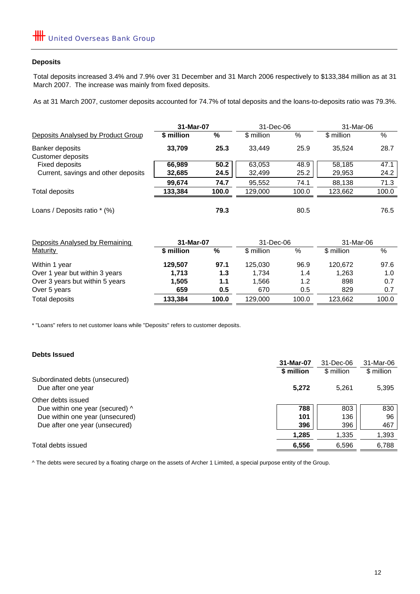#### **Deposits**

Total deposits increased 3.4% and 7.9% over 31 December and 31 March 2006 respectively to \$133,384 million as at 31 March 2007. The increase was mainly from fixed deposits.

As at 31 March 2007, customer deposits accounted for 74.7% of total deposits and the loans-to-deposits ratio was 79.3%.

|                                     | 31-Mar-07  |       | 31-Dec-06  |       | 31-Mar-06  |       |
|-------------------------------------|------------|-------|------------|-------|------------|-------|
| Deposits Analysed by Product Group  | \$ million | %     | \$ million | %     | \$ million | %     |
| Banker deposits                     | 33,709     | 25.3  | 33,449     | 25.9  | 35,524     | 28.7  |
| Customer deposits                   |            |       |            |       |            |       |
| Fixed deposits                      | 66,989     | 50.2  | 63,053     | 48.9  | 58,185     | 47.1  |
| Current, savings and other deposits | 32,685     | 24.5  | 32,499     | 25.2  | 29,953     | 24.2  |
|                                     | 99,674     | 74.7  | 95,552     | 74.1  | 88,138     | 71.3  |
| Total deposits                      | 133,384    | 100.0 | 129,000    | 100.0 | 123,662    | 100.0 |
| Loans / Deposits ratio * (%)        |            | 79.3  |            | 80.5  |            | 76.5  |
| Deposits Analysed by Remaining      | 31-Mar-07  |       | 31-Dec-06  |       | 31-Mar-06  |       |
| <b>Maturity</b>                     | \$ million | %     | \$ million | %     | \$ million | %     |
| Within 1 year                       | 129,507    | 97.1  | 125,030    | 96.9  | 120,672    | 97.6  |
| Over 1 year but within 3 years      | 1,713      | 1.3   | 1,734      | 1.4   | 1,263      | 1.0   |
| Over 3 years but within 5 years     | 1,505      | 1.1   | 1,566      | 1.2   | 898        | 0.7   |
| Over 5 years                        | 659        | 0.5   | 670        | 0.5   | 829        | 0.7   |
| Total deposits                      | 133,384    | 100.0 | 129,000    | 100.0 | 123,662    | 100.0 |

\* "Loans" refers to net customer loans while "Deposits" refers to customer deposits.

### **Debts Issued**

|                                                      | 31-Mar-07  | 31-Dec-06  | 31-Mar-06  |
|------------------------------------------------------|------------|------------|------------|
|                                                      | \$ million | \$ million | \$ million |
| Subordinated debts (unsecured)<br>Due after one year | 5,272      | 5.261      | 5,395      |
| Other debts issued                                   |            |            |            |
| Due within one year (secured) ^                      | 788        | 803        | 830        |
| Due within one year (unsecured)                      | 101        | 136        | 96         |
| Due after one year (unsecured)                       | 396        | 396        | 467        |
|                                                      | 1,285      | 1,335      | 1,393      |
| Total debts issued                                   | 6,556      | 6,596      | 6,788      |
|                                                      |            |            |            |

^ The debts were secured by a floating charge on the assets of Archer 1 Limited, a special purpose entity of the Group.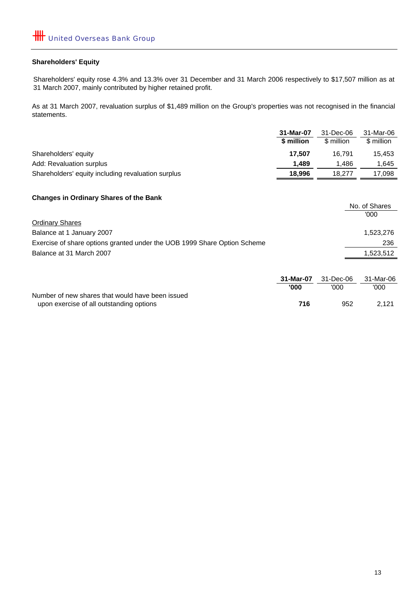#### **Shareholders' Equity**

Shareholders' equity rose 4.3% and 13.3% over 31 December and 31 March 2006 respectively to \$17,507 million as at 31 March 2007, mainly contributed by higher retained profit.

As at 31 March 2007, revaluation surplus of \$1,489 million on the Group's properties was not recognised in the financial statements.

|                                                    | 31-Mar-07  | 31-Dec-06  | 31-Mar-06  |  |
|----------------------------------------------------|------------|------------|------------|--|
|                                                    | \$ million | \$ million | \$ million |  |
| Shareholders' equity                               | 17.507     | 16.791     | 15.453     |  |
| Add: Revaluation surplus                           | 1.489      | 1.486      | 1.645      |  |
| Shareholders' equity including revaluation surplus | 18.996     | 18.277     | 17,098     |  |
|                                                    |            |            |            |  |

# **Changes in Ordinary Shares of the Bank**

|                                                                          | No. of Shares |
|--------------------------------------------------------------------------|---------------|
|                                                                          | '000          |
| <b>Ordinary Shares</b>                                                   |               |
| Balance at 1 January 2007                                                | 1,523,276     |
| Exercise of share options granted under the UOB 1999 Share Option Scheme | 236           |
| Balance at 31 March 2007                                                 | 1,523,512     |
|                                                                          |               |
|                                                                          |               |

|                                                  | 31-Mar-07 | 31-Dec-06 | 31-Mar-06 |  |
|--------------------------------------------------|-----------|-----------|-----------|--|
|                                                  | '000      | '000'     | '000'     |  |
| Number of new shares that would have been issued |           |           |           |  |
| upon exercise of all outstanding options         | 716       | 952       | 2.121     |  |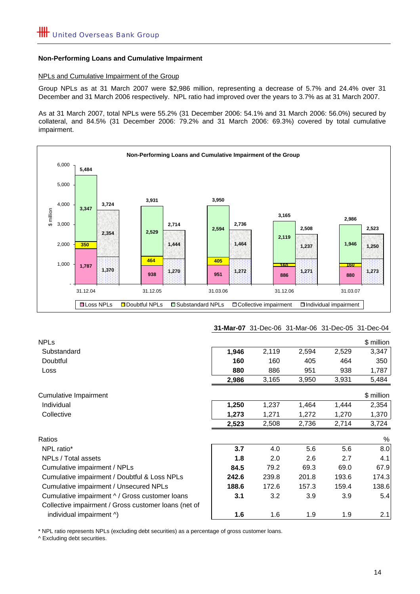#### **Non-Performing Loans and Cumulative Impairment**

#### NPLs and Cumulative Impairment of the Group

Group NPLs as at 31 March 2007 were \$2,986 million, representing a decrease of 5.7% and 24.4% over 31 December and 31 March 2006 respectively. NPL ratio had improved over the years to 3.7% as at 31 March 2007.

As at 31 March 2007, total NPLs were 55.2% (31 December 2006: 54.1% and 31 March 2006: 56.0%) secured by collateral, and 84.5% (31 December 2006: 79.2% and 31 March 2006: 69.3%) covered by total cumulative impairment.



#### **31-Mar-07** 31-Dec-06 31-Mar-06 31-Dec-05 31-Dec-04

| <b>NPLs</b>                                          |       |       |       |       | \$ million |
|------------------------------------------------------|-------|-------|-------|-------|------------|
| Substandard                                          | 1,946 | 2,119 | 2,594 | 2,529 | 3,347      |
| Doubtful                                             | 160   | 160   | 405   | 464   | 350        |
| Loss                                                 | 880   | 886   | 951   | 938   | 1,787      |
|                                                      | 2,986 | 3,165 | 3,950 | 3,931 | 5,484      |
| <b>Cumulative Impairment</b>                         |       |       |       |       | \$ million |
| Individual                                           | 1,250 | 1,237 | 1,464 | 1,444 | 2,354      |
| Collective                                           | 1,273 | 1,271 | 1,272 | 1,270 | 1,370      |
|                                                      | 2,523 | 2,508 | 2,736 | 2,714 | 3,724      |
| Ratios                                               |       |       |       |       | %          |
| NPL ratio*                                           | 3.7   | 4.0   | 5.6   | 5.6   | 8.0        |
| NPLs / Total assets                                  | 1.8   | 2.0   | 2.6   | 2.7   | 4.1        |
| Cumulative impairment / NPLs                         | 84.5  | 79.2  | 69.3  | 69.0  | 67.9       |
| Cumulative impairment / Doubtful & Loss NPLs         | 242.6 | 239.8 | 201.8 | 193.6 | 174.3      |
| Cumulative impairment / Unsecured NPLs               | 188.6 | 172.6 | 157.3 | 159.4 | 138.6      |
| Cumulative impairment ^ / Gross customer loans       | 3.1   | 3.2   | 3.9   | 3.9   | 5.4        |
| Collective impairment / Gross customer loans (net of |       |       |       |       |            |
| individual impairment ^)                             | 1.6   | 1.6   | 1.9   | 1.9   | 2.1        |

\* NPL ratio represents NPLs (excluding debt securities) as a percentage of gross customer loans.

^ Excluding debt securities.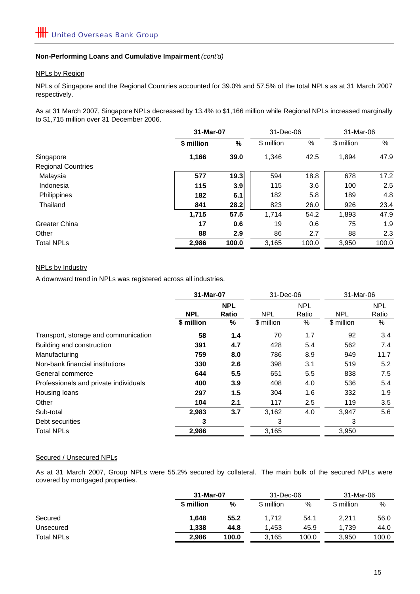#### **Non-Performing Loans and Cumulative Impairment** *(cont'd)*

#### NPLs by Region

NPLs of Singapore and the Regional Countries accounted for 39.0% and 57.5% of the total NPLs as at 31 March 2007 respectively.

As at 31 March 2007, Singapore NPLs decreased by 13.4% to \$1,166 million while Regional NPLs increased marginally to \$1,715 million over 31 December 2006.

|                           |            | 31-Mar-07        |            | 31-Dec-06 |            | 31-Mar-06 |  |
|---------------------------|------------|------------------|------------|-----------|------------|-----------|--|
|                           | \$ million | $\%$             | \$ million | $\%$      | \$ million | %         |  |
| Singapore                 | 1,166      | 39.0             | 1,346      | 42.5      | 1,894      | 47.9      |  |
| <b>Regional Countries</b> |            |                  |            |           |            |           |  |
| Malaysia                  | 577        | 19.3             | 594        | 18.8      | 678        | 17.2      |  |
| Indonesia                 | 115        | 3.9 <sub>l</sub> | 115        | 3.6       | 100        | 2.5       |  |
| Philippines               | 182        | 6.1              | 182        | 5.8       | 189        | 4.8       |  |
| Thailand                  | 841        | 28.2             | 823        | 26.0      | 926        | 23.4      |  |
|                           | 1,715      | 57.5             | 1,714      | 54.2      | 1,893      | 47.9      |  |
| Greater China             | 17         | 0.6              | 19         | 0.6       | 75         | 1.9       |  |
| Other                     | 88         | 2.9              | 86         | 2.7       | 88         | 2.3       |  |
| <b>Total NPLs</b>         | 2,986      | 100.0            | 3.165      | 100.0     | 3,950      | 100.0     |  |

#### NPLs by Industry

A downward trend in NPLs was registered across all industries.

|                                       | 31-Mar-07  |                            | 31-Dec-06  |                     | 31-Mar-06  |                     |
|---------------------------------------|------------|----------------------------|------------|---------------------|------------|---------------------|
|                                       | <b>NPL</b> | <b>NPL</b><br><b>Ratio</b> | <b>NPL</b> | <b>NPL</b><br>Ratio | <b>NPL</b> | <b>NPL</b><br>Ratio |
|                                       | \$ million | %                          | \$ million | $\%$                | \$ million | %                   |
| Transport, storage and communication  | 58         | 1.4                        | 70         | 1.7                 | 92         | 3.4                 |
| Building and construction             | 391        | 4.7                        | 428        | 5.4                 | 562        | 7.4                 |
| Manufacturing                         | 759        | 8.0                        | 786        | 8.9                 | 949        | 11.7                |
| Non-bank financial institutions       | 330        | 2.6                        | 398        | 3.1                 | 519        | 5.2                 |
| General commerce                      | 644        | 5.5                        | 651        | 5.5                 | 838        | 7.5                 |
| Professionals and private individuals | 400        | 3.9                        | 408        | 4.0                 | 536        | 5.4                 |
| Housing loans                         | 297        | 1.5                        | 304        | 1.6                 | 332        | 1.9                 |
| Other                                 | 104        | 2.1                        | 117        | 2.5                 | 119        | 3.5                 |
| Sub-total                             | 2,983      | 3.7                        | 3,162      | 4.0                 | 3,947      | 5.6                 |
| Debt securities                       | 3          |                            | 3          |                     | 3          |                     |
| <b>Total NPLs</b>                     | 2,986      |                            | 3,165      |                     | 3,950      |                     |

#### Secured / Unsecured NPLs

As at 31 March 2007, Group NPLs were 55.2% secured by collateral. The main bulk of the secured NPLs were covered by mortgaged properties.

|                   |            | 31-Mar-07 |            | 31-Dec-06 |            | 31-Mar-06 |  |
|-------------------|------------|-----------|------------|-----------|------------|-----------|--|
|                   | \$ million | %         | \$ million | %         | \$ million | %         |  |
| Secured           | 1.648      | 55.2      | 1.712      | 54.1      | 2.211      | 56.0      |  |
| Unsecured         | 1.338      | 44.8      | 1.453      | 45.9      | 1.739      | 44.0      |  |
| <b>Total NPLs</b> | 2.986      | 100.0     | 3,165      | 100.0     | 3,950      | 100.0     |  |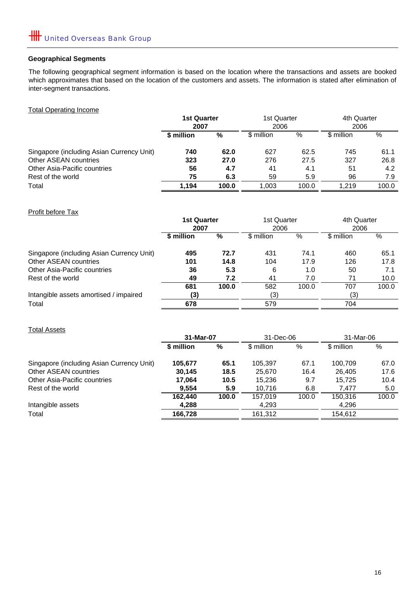# **Geographical Segments**

The following geographical segment information is based on the location where the transactions and assets are booked which approximates that based on the location of the customers and assets. The information is stated after elimination of inter-segment transactions.

Total Operating Income

|                                           | <b>1st Quarter</b> |       | 1st Quarter |       | 4th Quarter |       |
|-------------------------------------------|--------------------|-------|-------------|-------|-------------|-------|
|                                           | 2007               |       | 2006        |       | 2006        |       |
|                                           | \$ million         | %     | \$ million  | $\%$  | \$ million  | %     |
| Singapore (including Asian Currency Unit) | 740                | 62.0  | 627         | 62.5  | 745         | 61.1  |
| Other ASEAN countries                     | 323                | 27.0  | 276         | 27.5  | 327         | 26.8  |
| Other Asia-Pacific countries              | 56                 | 4.7   | 41          | 4.1   | 51          | 4.2   |
| Rest of the world                         | 75                 | 6.3   | 59          | 5.9   | 96          | 7.9   |
| Total                                     | 1.194              | 100.0 | 1.003       | 100.0 | 1.219       | 100.0 |

Profit before Tax

|                                           | <b>1st Quarter</b><br>2007 |       | 1st Quarter<br>2006 |       | 4th Quarter<br>2006 |       |
|-------------------------------------------|----------------------------|-------|---------------------|-------|---------------------|-------|
|                                           | \$ million                 | %     | \$ million          | %     | \$ million          | %     |
| Singapore (including Asian Currency Unit) | 495                        | 72.7  | 431                 | 74.1  | 460                 | 65.1  |
| Other ASEAN countries                     | 101                        | 14.8  | 104                 | 17.9  | 126                 | 17.8  |
| Other Asia-Pacific countries              | 36                         | 5.3   | 6                   | 1.0   | 50                  | 7.1   |
| Rest of the world                         | 49                         | 7.2   | 41                  | 7.0   | 71                  | 10.0  |
|                                           | 681                        | 100.0 | 582                 | 100.0 | 707                 | 100.0 |
| Intangible assets amortised / impaired    | (3)                        |       | (3)                 |       | (3)                 |       |
| Total                                     | 678                        |       | 579                 |       | 704                 |       |

Total Assets

|                                           | 31-Mar-07  |       | 31-Dec-06  |       | 31-Mar-06  |       |
|-------------------------------------------|------------|-------|------------|-------|------------|-------|
|                                           | \$ million | %     | \$ million | %     | \$ million | $\%$  |
| Singapore (including Asian Currency Unit) | 105,677    | 65.1  | 105.397    | 67.1  | 100.709    | 67.0  |
| Other ASEAN countries                     | 30.145     | 18.5  | 25.670     | 16.4  | 26.405     | 17.6  |
| Other Asia-Pacific countries              | 17,064     | 10.5  | 15,236     | 9.7   | 15,725     | 10.4  |
| Rest of the world                         | 9.554      | 5.9   | 10.716     | 6.8   | 7.477      | 5.0   |
|                                           | 162.440    | 100.0 | 157,019    | 100.0 | 150.316    | 100.0 |
| Intangible assets                         | 4.288      |       | 4,293      |       | 4,296      |       |
| Total                                     | 166,728    |       | 161.312    |       | 154,612    |       |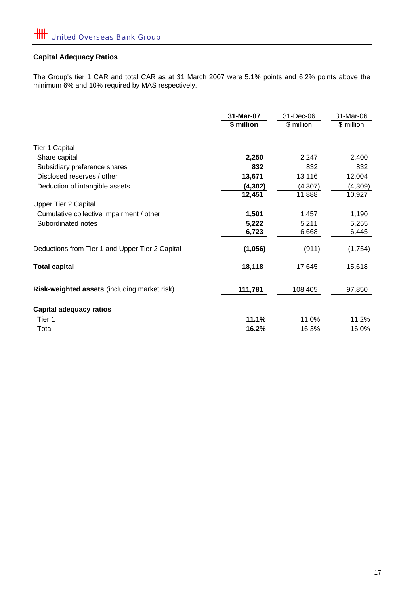# **Capital Adequacy Ratios**

The Group's tier 1 CAR and total CAR as at 31 March 2007 were 5.1% points and 6.2% points above the minimum 6% and 10% required by MAS respectively.

|                                                 | 31-Mar-07  | 31-Dec-06  | 31-Mar-06  |
|-------------------------------------------------|------------|------------|------------|
|                                                 | \$ million | \$ million | \$ million |
| <b>Tier 1 Capital</b>                           |            |            |            |
| Share capital                                   | 2,250      | 2,247      | 2,400      |
| Subsidiary preference shares                    | 832        | 832        | 832        |
| Disclosed reserves / other                      | 13,671     | 13,116     | 12,004     |
| Deduction of intangible assets                  | (4, 302)   | (4, 307)   | (4,309)    |
|                                                 | 12,451     | 11,888     | 10,927     |
| <b>Upper Tier 2 Capital</b>                     |            |            |            |
| Cumulative collective impairment / other        | 1,501      | 1,457      | 1,190      |
| Subordinated notes                              | 5,222      | 5,211      | 5,255      |
|                                                 | 6,723      | 6,668      | 6,445      |
| Deductions from Tier 1 and Upper Tier 2 Capital | (1,056)    | (911)      | (1,754)    |
| <b>Total capital</b>                            | 18,118     | 17,645     | 15,618     |
| Risk-weighted assets (including market risk)    | 111,781    | 108,405    | 97,850     |
| <b>Capital adequacy ratios</b>                  |            |            |            |
| Tier 1                                          | 11.1%      | 11.0%      | 11.2%      |
| Total                                           | 16.2%      | 16.3%      | 16.0%      |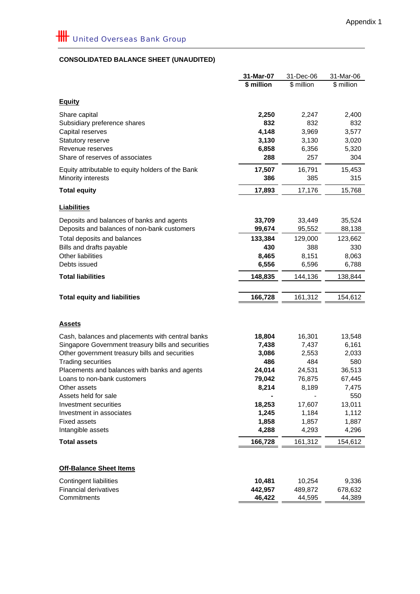# **CONSOLIDATED BALANCE SHEET (UNAUDITED)**

|                                                                             | 31-Mar-07    | 31-Dec-06    | 31-Mar-06    |
|-----------------------------------------------------------------------------|--------------|--------------|--------------|
|                                                                             | \$ million   | \$ million   | \$ million   |
|                                                                             |              |              |              |
| <b>Equity</b>                                                               |              |              |              |
| Share capital                                                               | 2,250        | 2,247        | 2,400        |
| Subsidiary preference shares                                                | 832          | 832          | 832          |
| Capital reserves                                                            | 4,148        | 3,969        | 3,577        |
| Statutory reserve                                                           | 3,130        | 3,130        | 3,020        |
| Revenue reserves                                                            | 6,858        | 6,356        | 5,320        |
| Share of reserves of associates                                             | 288          | 257          | 304          |
| Equity attributable to equity holders of the Bank                           | 17,507       | 16,791       | 15,453       |
| Minority interests                                                          | 386          | 385          | 315          |
| <b>Total equity</b>                                                         | 17,893       | 17,176       | 15,768       |
| <b>Liabilities</b>                                                          |              |              |              |
|                                                                             |              |              |              |
| Deposits and balances of banks and agents                                   | 33,709       | 33,449       | 35,524       |
| Deposits and balances of non-bank customers                                 | 99,674       | 95,552       | 88,138       |
| Total deposits and balances                                                 | 133,384      | 129,000      | 123,662      |
| Bills and drafts payable                                                    | 430          | 388          | 330          |
| Other liabilities                                                           | 8,465        | 8,151        | 8,063        |
| Debts issued                                                                | 6,556        | 6,596        | 6,788        |
| <b>Total liabilities</b>                                                    | 148,835      | 144,136      | 138,844      |
| <b>Total equity and liabilities</b>                                         | 166,728      | 161,312      | 154,612      |
|                                                                             |              |              |              |
| <b>Assets</b>                                                               |              |              |              |
|                                                                             |              |              |              |
| Cash, balances and placements with central banks                            | 18,804       | 16,301       | 13,548       |
| Singapore Government treasury bills and securities                          | 7,438        | 7,437        | 6,161        |
| Other government treasury bills and securities<br><b>Trading securities</b> | 3,086<br>486 | 2,553<br>484 | 2,033<br>580 |
| Placements and balances with banks and agents                               | 24,014       | 24,531       | 36,513       |
| Loans to non-bank customers                                                 | 79,042       | 76,875       | 67,445       |
| Other assets                                                                | 8,214        | 8,189        | 7,475        |
| Assets held for sale                                                        |              |              | 550          |
| Investment securities                                                       | 18,253       | 17,607       | 13,011       |
| Investment in associates                                                    | 1,245        | 1,184        | 1,112        |
| <b>Fixed assets</b>                                                         | 1,858        | 1,857        | 1,887        |
| Intangible assets                                                           | 4,288        | 4,293        | 4,296        |
| <b>Total assets</b>                                                         | 166,728      | 161,312      | 154,612      |
|                                                                             |              |              |              |
| <b>Off-Balance Sheet Items</b>                                              |              |              |              |
| Contingent liabilities                                                      | 10,481       | 10,254       | 9,336        |
| <b>Financial derivatives</b>                                                | 442,957      | 489,872      | 678,632      |
| Commitments                                                                 | 46,422       | 44,595       | 44,389       |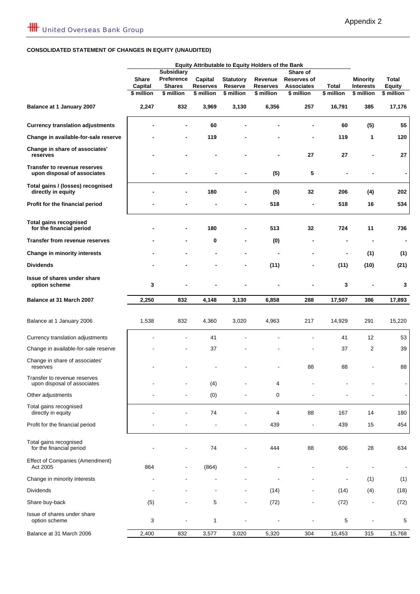# **CONSOLIDATED STATEMENT OF CHANGES IN EQUITY (UNAUDITED)**

|                                                             | Equity Attributable to Equity Holders of the Bank |                             |                               |                       |                               |                                 |                     |                                |                             |
|-------------------------------------------------------------|---------------------------------------------------|-----------------------------|-------------------------------|-----------------------|-------------------------------|---------------------------------|---------------------|--------------------------------|-----------------------------|
|                                                             |                                                   | <b>Subsidiary</b>           |                               |                       | Share of                      |                                 |                     |                                |                             |
|                                                             | <b>Share</b>                                      | Preference                  | Capital                       | <b>Statutory</b>      | Revenue                       | Reserves of                     |                     | <b>Minority</b>                | Total                       |
|                                                             | Capital<br>\$ million                             | <b>Shares</b><br>\$ million | <b>Reserves</b><br>\$ million | Reserve<br>\$ million | <b>Reserves</b><br>\$ million | <b>Associates</b><br>\$ million | Total<br>\$ million | <b>Interests</b><br>\$ million | <b>Equity</b><br>\$ million |
| Balance at 1 January 2007                                   | 2,247                                             | 832                         | 3,969                         | 3,130                 | 6,356                         | 257                             | 16,791              | 385                            | 17,176                      |
| <b>Currency translation adjustments</b>                     |                                                   |                             | 60                            |                       |                               |                                 | 60                  | (5)                            | 55                          |
| Change in available-for-sale reserve                        |                                                   |                             | 119                           |                       |                               |                                 | 119                 | 1                              | 120                         |
| Change in share of associates'<br>reserves                  |                                                   |                             |                               |                       |                               | 27                              | 27                  |                                | 27                          |
| Transfer to revenue reserves<br>upon disposal of associates |                                                   |                             |                               |                       | (5)                           | 5                               |                     |                                |                             |
| Total gains / (losses) recognised<br>directly in equity     |                                                   |                             | 180                           |                       | (5)                           | 32                              | 206                 | (4)                            | 202                         |
| Profit for the financial period                             |                                                   |                             |                               |                       | 518                           |                                 | 518                 | 16                             | 534                         |
| <b>Total gains recognised</b><br>for the financial period   |                                                   |                             | 180                           |                       | 513                           | 32                              | 724                 | 11                             | 736                         |
| <b>Transfer from revenue reserves</b>                       |                                                   |                             | 0                             |                       | (0)                           | -                               |                     | $\blacksquare$                 | $\blacksquare$              |
| Change in minority interests                                |                                                   |                             |                               |                       |                               |                                 |                     | (1)                            | (1)                         |
| <b>Dividends</b>                                            |                                                   |                             |                               |                       | (11)                          | -                               | (11)                | (10)                           | (21)                        |
| Issue of shares under share<br>option scheme                | 3                                                 |                             |                               |                       |                               |                                 | 3                   |                                | 3                           |
| Balance at 31 March 2007                                    | 2,250                                             | 832                         | 4,148                         | 3,130                 | 6,858                         | 288                             | 17,507              | 386                            | 17,893                      |
| Balance at 1 January 2006                                   | 1,538                                             | 832                         | 4,360                         | 3,020                 | 4,963                         | 217                             | 14,929              | 291                            | 15,220                      |
| Currency translation adjustments                            |                                                   |                             | 41                            |                       |                               |                                 | 41                  | 12                             | 53                          |
| Change in available-for-sale reserve                        |                                                   |                             | 37                            |                       |                               |                                 | 37                  | 2                              | 39                          |
| Change in share of associates'<br>reserves                  |                                                   |                             |                               |                       |                               | 88                              | 88                  |                                | 88                          |
| Transfer to revenue reserves<br>upon disposal of associates |                                                   |                             | (4)                           |                       | 4                             |                                 |                     |                                |                             |
| Other adjustments                                           |                                                   |                             | (0)                           |                       | 0                             |                                 |                     |                                |                             |
| Total gains recognised<br>directly in equity                |                                                   |                             | 74                            |                       | 4                             | 88                              | 167                 | 14                             | 180                         |
| Profit for the financial period                             |                                                   |                             |                               |                       | 439                           |                                 | 439                 | 15                             | 454                         |
| Total gains recognised<br>for the financial period          |                                                   |                             | 74                            |                       | 444                           | 88                              | 606                 | 28                             | 634                         |
| Effect of Companies (Amendment)<br>Act 2005                 | 864                                               |                             | (864)                         |                       |                               |                                 |                     |                                |                             |
| Change in minority interests                                |                                                   |                             |                               |                       |                               |                                 |                     | (1)                            | (1)                         |
| <b>Dividends</b>                                            |                                                   |                             |                               |                       | (14)                          |                                 | (14)                | (4)                            | (18)                        |
| Share buy-back                                              | (5)                                               |                             | 5                             |                       | (72)                          |                                 | (72)                | ٠                              | (72)                        |
| Issue of shares under share<br>option scheme                | 3                                                 |                             | 1                             |                       |                               |                                 | 5                   |                                | 5                           |
| Balance at 31 March 2006                                    | 2,400                                             | 832                         | 3,577                         | 3,020                 | 5,320                         | 304                             | 15,453              | 315                            | 15,768                      |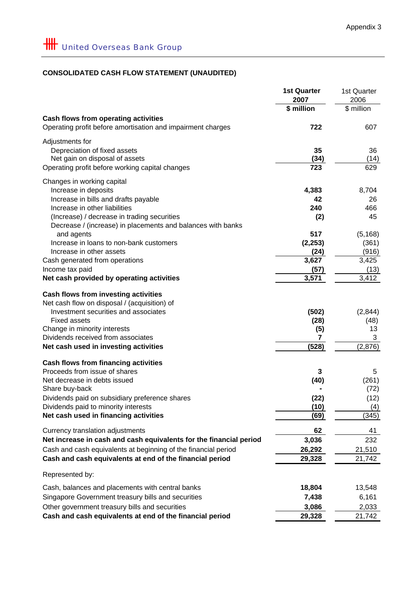# **CONSOLIDATED CASH FLOW STATEMENT (UNAUDITED)**

| \$ million<br>\$ million<br><b>Cash flows from operating activities</b><br>Operating profit before amortisation and impairment charges<br>722<br>607<br>Adjustments for<br>35<br>Depreciation of fixed assets<br>36<br>Net gain on disposal of assets<br>(34)<br>(14)<br>Operating profit before working capital changes<br>723<br>629<br>Changes in working capital<br>4,383<br>8,704<br>Increase in deposits<br>Increase in bills and drafts payable<br>42<br>26<br>Increase in other liabilities<br>240<br>466<br>(Increase) / decrease in trading securities<br>(2)<br>45<br>Decrease / (increase) in placements and balances with banks<br>and agents<br>517<br>(5, 168)<br>Increase in loans to non-bank customers<br>(2, 253)<br>(361)<br>Increase in other assets<br>(24)<br>(916)<br>3,627<br>3,425<br>Cash generated from operations<br>(57)<br>(13)<br>Income tax paid<br>3,571<br>3,412<br>Net cash provided by operating activities<br><b>Cash flows from investing activities</b><br>Net cash flow on disposal / (acquisition) of<br>Investment securities and associates<br>(502)<br>(2,844)<br><b>Fixed assets</b><br>(28)<br>(48)<br>Change in minority interests<br>(5)<br>13<br>Dividends received from associates<br>3<br>7<br>(528)<br>Net cash used in investing activities<br>(2,876)<br><b>Cash flows from financing activities</b><br>Proceeds from issue of shares<br>3<br>5<br>Net decrease in debts issued<br>(40)<br>(261)<br>Share buy-back<br>(72)<br>(12)<br>Dividends paid on subsidiary preference shares<br>(22)<br>Dividends paid to minority interests<br>(10)<br>(4)<br>Net cash used in financing activities<br>(69)<br>(345)<br>Currency translation adjustments<br>62<br>41<br>Net increase in cash and cash equivalents for the financial period<br>232<br>3,036<br>Cash and cash equivalents at beginning of the financial period<br>26,292<br>21,510<br>Cash and cash equivalents at end of the financial period<br>29,328<br>21,742<br>Represented by:<br>Cash, balances and placements with central banks<br>18,804<br>13,548<br>Singapore Government treasury bills and securities<br>7,438<br>6,161<br>Other government treasury bills and securities<br>3,086<br>2,033<br>Cash and cash equivalents at end of the financial period<br>29,328<br>21,742 | <b>1st Quarter</b><br>2007 | 1st Quarter<br>2006 |
|---------------------------------------------------------------------------------------------------------------------------------------------------------------------------------------------------------------------------------------------------------------------------------------------------------------------------------------------------------------------------------------------------------------------------------------------------------------------------------------------------------------------------------------------------------------------------------------------------------------------------------------------------------------------------------------------------------------------------------------------------------------------------------------------------------------------------------------------------------------------------------------------------------------------------------------------------------------------------------------------------------------------------------------------------------------------------------------------------------------------------------------------------------------------------------------------------------------------------------------------------------------------------------------------------------------------------------------------------------------------------------------------------------------------------------------------------------------------------------------------------------------------------------------------------------------------------------------------------------------------------------------------------------------------------------------------------------------------------------------------------------------------------------------------------------------------------------------------------------------------------------------------------------------------------------------------------------------------------------------------------------------------------------------------------------------------------------------------------------------------------------------------------------------------------------------------------------------------------------------------------------------------------------------------------------|----------------------------|---------------------|
|                                                                                                                                                                                                                                                                                                                                                                                                                                                                                                                                                                                                                                                                                                                                                                                                                                                                                                                                                                                                                                                                                                                                                                                                                                                                                                                                                                                                                                                                                                                                                                                                                                                                                                                                                                                                                                                                                                                                                                                                                                                                                                                                                                                                                                                                                                         |                            |                     |
|                                                                                                                                                                                                                                                                                                                                                                                                                                                                                                                                                                                                                                                                                                                                                                                                                                                                                                                                                                                                                                                                                                                                                                                                                                                                                                                                                                                                                                                                                                                                                                                                                                                                                                                                                                                                                                                                                                                                                                                                                                                                                                                                                                                                                                                                                                         |                            |                     |
|                                                                                                                                                                                                                                                                                                                                                                                                                                                                                                                                                                                                                                                                                                                                                                                                                                                                                                                                                                                                                                                                                                                                                                                                                                                                                                                                                                                                                                                                                                                                                                                                                                                                                                                                                                                                                                                                                                                                                                                                                                                                                                                                                                                                                                                                                                         |                            |                     |
|                                                                                                                                                                                                                                                                                                                                                                                                                                                                                                                                                                                                                                                                                                                                                                                                                                                                                                                                                                                                                                                                                                                                                                                                                                                                                                                                                                                                                                                                                                                                                                                                                                                                                                                                                                                                                                                                                                                                                                                                                                                                                                                                                                                                                                                                                                         |                            |                     |
|                                                                                                                                                                                                                                                                                                                                                                                                                                                                                                                                                                                                                                                                                                                                                                                                                                                                                                                                                                                                                                                                                                                                                                                                                                                                                                                                                                                                                                                                                                                                                                                                                                                                                                                                                                                                                                                                                                                                                                                                                                                                                                                                                                                                                                                                                                         |                            |                     |
|                                                                                                                                                                                                                                                                                                                                                                                                                                                                                                                                                                                                                                                                                                                                                                                                                                                                                                                                                                                                                                                                                                                                                                                                                                                                                                                                                                                                                                                                                                                                                                                                                                                                                                                                                                                                                                                                                                                                                                                                                                                                                                                                                                                                                                                                                                         |                            |                     |
|                                                                                                                                                                                                                                                                                                                                                                                                                                                                                                                                                                                                                                                                                                                                                                                                                                                                                                                                                                                                                                                                                                                                                                                                                                                                                                                                                                                                                                                                                                                                                                                                                                                                                                                                                                                                                                                                                                                                                                                                                                                                                                                                                                                                                                                                                                         |                            |                     |
|                                                                                                                                                                                                                                                                                                                                                                                                                                                                                                                                                                                                                                                                                                                                                                                                                                                                                                                                                                                                                                                                                                                                                                                                                                                                                                                                                                                                                                                                                                                                                                                                                                                                                                                                                                                                                                                                                                                                                                                                                                                                                                                                                                                                                                                                                                         |                            |                     |
|                                                                                                                                                                                                                                                                                                                                                                                                                                                                                                                                                                                                                                                                                                                                                                                                                                                                                                                                                                                                                                                                                                                                                                                                                                                                                                                                                                                                                                                                                                                                                                                                                                                                                                                                                                                                                                                                                                                                                                                                                                                                                                                                                                                                                                                                                                         |                            |                     |
|                                                                                                                                                                                                                                                                                                                                                                                                                                                                                                                                                                                                                                                                                                                                                                                                                                                                                                                                                                                                                                                                                                                                                                                                                                                                                                                                                                                                                                                                                                                                                                                                                                                                                                                                                                                                                                                                                                                                                                                                                                                                                                                                                                                                                                                                                                         |                            |                     |
|                                                                                                                                                                                                                                                                                                                                                                                                                                                                                                                                                                                                                                                                                                                                                                                                                                                                                                                                                                                                                                                                                                                                                                                                                                                                                                                                                                                                                                                                                                                                                                                                                                                                                                                                                                                                                                                                                                                                                                                                                                                                                                                                                                                                                                                                                                         |                            |                     |
|                                                                                                                                                                                                                                                                                                                                                                                                                                                                                                                                                                                                                                                                                                                                                                                                                                                                                                                                                                                                                                                                                                                                                                                                                                                                                                                                                                                                                                                                                                                                                                                                                                                                                                                                                                                                                                                                                                                                                                                                                                                                                                                                                                                                                                                                                                         |                            |                     |
|                                                                                                                                                                                                                                                                                                                                                                                                                                                                                                                                                                                                                                                                                                                                                                                                                                                                                                                                                                                                                                                                                                                                                                                                                                                                                                                                                                                                                                                                                                                                                                                                                                                                                                                                                                                                                                                                                                                                                                                                                                                                                                                                                                                                                                                                                                         |                            |                     |
|                                                                                                                                                                                                                                                                                                                                                                                                                                                                                                                                                                                                                                                                                                                                                                                                                                                                                                                                                                                                                                                                                                                                                                                                                                                                                                                                                                                                                                                                                                                                                                                                                                                                                                                                                                                                                                                                                                                                                                                                                                                                                                                                                                                                                                                                                                         |                            |                     |
|                                                                                                                                                                                                                                                                                                                                                                                                                                                                                                                                                                                                                                                                                                                                                                                                                                                                                                                                                                                                                                                                                                                                                                                                                                                                                                                                                                                                                                                                                                                                                                                                                                                                                                                                                                                                                                                                                                                                                                                                                                                                                                                                                                                                                                                                                                         |                            |                     |
|                                                                                                                                                                                                                                                                                                                                                                                                                                                                                                                                                                                                                                                                                                                                                                                                                                                                                                                                                                                                                                                                                                                                                                                                                                                                                                                                                                                                                                                                                                                                                                                                                                                                                                                                                                                                                                                                                                                                                                                                                                                                                                                                                                                                                                                                                                         |                            |                     |
|                                                                                                                                                                                                                                                                                                                                                                                                                                                                                                                                                                                                                                                                                                                                                                                                                                                                                                                                                                                                                                                                                                                                                                                                                                                                                                                                                                                                                                                                                                                                                                                                                                                                                                                                                                                                                                                                                                                                                                                                                                                                                                                                                                                                                                                                                                         |                            |                     |
|                                                                                                                                                                                                                                                                                                                                                                                                                                                                                                                                                                                                                                                                                                                                                                                                                                                                                                                                                                                                                                                                                                                                                                                                                                                                                                                                                                                                                                                                                                                                                                                                                                                                                                                                                                                                                                                                                                                                                                                                                                                                                                                                                                                                                                                                                                         |                            |                     |
|                                                                                                                                                                                                                                                                                                                                                                                                                                                                                                                                                                                                                                                                                                                                                                                                                                                                                                                                                                                                                                                                                                                                                                                                                                                                                                                                                                                                                                                                                                                                                                                                                                                                                                                                                                                                                                                                                                                                                                                                                                                                                                                                                                                                                                                                                                         |                            |                     |
|                                                                                                                                                                                                                                                                                                                                                                                                                                                                                                                                                                                                                                                                                                                                                                                                                                                                                                                                                                                                                                                                                                                                                                                                                                                                                                                                                                                                                                                                                                                                                                                                                                                                                                                                                                                                                                                                                                                                                                                                                                                                                                                                                                                                                                                                                                         |                            |                     |
|                                                                                                                                                                                                                                                                                                                                                                                                                                                                                                                                                                                                                                                                                                                                                                                                                                                                                                                                                                                                                                                                                                                                                                                                                                                                                                                                                                                                                                                                                                                                                                                                                                                                                                                                                                                                                                                                                                                                                                                                                                                                                                                                                                                                                                                                                                         |                            |                     |
|                                                                                                                                                                                                                                                                                                                                                                                                                                                                                                                                                                                                                                                                                                                                                                                                                                                                                                                                                                                                                                                                                                                                                                                                                                                                                                                                                                                                                                                                                                                                                                                                                                                                                                                                                                                                                                                                                                                                                                                                                                                                                                                                                                                                                                                                                                         |                            |                     |
|                                                                                                                                                                                                                                                                                                                                                                                                                                                                                                                                                                                                                                                                                                                                                                                                                                                                                                                                                                                                                                                                                                                                                                                                                                                                                                                                                                                                                                                                                                                                                                                                                                                                                                                                                                                                                                                                                                                                                                                                                                                                                                                                                                                                                                                                                                         |                            |                     |
|                                                                                                                                                                                                                                                                                                                                                                                                                                                                                                                                                                                                                                                                                                                                                                                                                                                                                                                                                                                                                                                                                                                                                                                                                                                                                                                                                                                                                                                                                                                                                                                                                                                                                                                                                                                                                                                                                                                                                                                                                                                                                                                                                                                                                                                                                                         |                            |                     |
|                                                                                                                                                                                                                                                                                                                                                                                                                                                                                                                                                                                                                                                                                                                                                                                                                                                                                                                                                                                                                                                                                                                                                                                                                                                                                                                                                                                                                                                                                                                                                                                                                                                                                                                                                                                                                                                                                                                                                                                                                                                                                                                                                                                                                                                                                                         |                            |                     |
|                                                                                                                                                                                                                                                                                                                                                                                                                                                                                                                                                                                                                                                                                                                                                                                                                                                                                                                                                                                                                                                                                                                                                                                                                                                                                                                                                                                                                                                                                                                                                                                                                                                                                                                                                                                                                                                                                                                                                                                                                                                                                                                                                                                                                                                                                                         |                            |                     |
|                                                                                                                                                                                                                                                                                                                                                                                                                                                                                                                                                                                                                                                                                                                                                                                                                                                                                                                                                                                                                                                                                                                                                                                                                                                                                                                                                                                                                                                                                                                                                                                                                                                                                                                                                                                                                                                                                                                                                                                                                                                                                                                                                                                                                                                                                                         |                            |                     |
|                                                                                                                                                                                                                                                                                                                                                                                                                                                                                                                                                                                                                                                                                                                                                                                                                                                                                                                                                                                                                                                                                                                                                                                                                                                                                                                                                                                                                                                                                                                                                                                                                                                                                                                                                                                                                                                                                                                                                                                                                                                                                                                                                                                                                                                                                                         |                            |                     |
|                                                                                                                                                                                                                                                                                                                                                                                                                                                                                                                                                                                                                                                                                                                                                                                                                                                                                                                                                                                                                                                                                                                                                                                                                                                                                                                                                                                                                                                                                                                                                                                                                                                                                                                                                                                                                                                                                                                                                                                                                                                                                                                                                                                                                                                                                                         |                            |                     |
|                                                                                                                                                                                                                                                                                                                                                                                                                                                                                                                                                                                                                                                                                                                                                                                                                                                                                                                                                                                                                                                                                                                                                                                                                                                                                                                                                                                                                                                                                                                                                                                                                                                                                                                                                                                                                                                                                                                                                                                                                                                                                                                                                                                                                                                                                                         |                            |                     |
|                                                                                                                                                                                                                                                                                                                                                                                                                                                                                                                                                                                                                                                                                                                                                                                                                                                                                                                                                                                                                                                                                                                                                                                                                                                                                                                                                                                                                                                                                                                                                                                                                                                                                                                                                                                                                                                                                                                                                                                                                                                                                                                                                                                                                                                                                                         |                            |                     |
|                                                                                                                                                                                                                                                                                                                                                                                                                                                                                                                                                                                                                                                                                                                                                                                                                                                                                                                                                                                                                                                                                                                                                                                                                                                                                                                                                                                                                                                                                                                                                                                                                                                                                                                                                                                                                                                                                                                                                                                                                                                                                                                                                                                                                                                                                                         |                            |                     |
|                                                                                                                                                                                                                                                                                                                                                                                                                                                                                                                                                                                                                                                                                                                                                                                                                                                                                                                                                                                                                                                                                                                                                                                                                                                                                                                                                                                                                                                                                                                                                                                                                                                                                                                                                                                                                                                                                                                                                                                                                                                                                                                                                                                                                                                                                                         |                            |                     |
|                                                                                                                                                                                                                                                                                                                                                                                                                                                                                                                                                                                                                                                                                                                                                                                                                                                                                                                                                                                                                                                                                                                                                                                                                                                                                                                                                                                                                                                                                                                                                                                                                                                                                                                                                                                                                                                                                                                                                                                                                                                                                                                                                                                                                                                                                                         |                            |                     |
|                                                                                                                                                                                                                                                                                                                                                                                                                                                                                                                                                                                                                                                                                                                                                                                                                                                                                                                                                                                                                                                                                                                                                                                                                                                                                                                                                                                                                                                                                                                                                                                                                                                                                                                                                                                                                                                                                                                                                                                                                                                                                                                                                                                                                                                                                                         |                            |                     |
|                                                                                                                                                                                                                                                                                                                                                                                                                                                                                                                                                                                                                                                                                                                                                                                                                                                                                                                                                                                                                                                                                                                                                                                                                                                                                                                                                                                                                                                                                                                                                                                                                                                                                                                                                                                                                                                                                                                                                                                                                                                                                                                                                                                                                                                                                                         |                            |                     |
|                                                                                                                                                                                                                                                                                                                                                                                                                                                                                                                                                                                                                                                                                                                                                                                                                                                                                                                                                                                                                                                                                                                                                                                                                                                                                                                                                                                                                                                                                                                                                                                                                                                                                                                                                                                                                                                                                                                                                                                                                                                                                                                                                                                                                                                                                                         |                            |                     |
|                                                                                                                                                                                                                                                                                                                                                                                                                                                                                                                                                                                                                                                                                                                                                                                                                                                                                                                                                                                                                                                                                                                                                                                                                                                                                                                                                                                                                                                                                                                                                                                                                                                                                                                                                                                                                                                                                                                                                                                                                                                                                                                                                                                                                                                                                                         |                            |                     |
|                                                                                                                                                                                                                                                                                                                                                                                                                                                                                                                                                                                                                                                                                                                                                                                                                                                                                                                                                                                                                                                                                                                                                                                                                                                                                                                                                                                                                                                                                                                                                                                                                                                                                                                                                                                                                                                                                                                                                                                                                                                                                                                                                                                                                                                                                                         |                            |                     |
|                                                                                                                                                                                                                                                                                                                                                                                                                                                                                                                                                                                                                                                                                                                                                                                                                                                                                                                                                                                                                                                                                                                                                                                                                                                                                                                                                                                                                                                                                                                                                                                                                                                                                                                                                                                                                                                                                                                                                                                                                                                                                                                                                                                                                                                                                                         |                            |                     |
|                                                                                                                                                                                                                                                                                                                                                                                                                                                                                                                                                                                                                                                                                                                                                                                                                                                                                                                                                                                                                                                                                                                                                                                                                                                                                                                                                                                                                                                                                                                                                                                                                                                                                                                                                                                                                                                                                                                                                                                                                                                                                                                                                                                                                                                                                                         |                            |                     |
|                                                                                                                                                                                                                                                                                                                                                                                                                                                                                                                                                                                                                                                                                                                                                                                                                                                                                                                                                                                                                                                                                                                                                                                                                                                                                                                                                                                                                                                                                                                                                                                                                                                                                                                                                                                                                                                                                                                                                                                                                                                                                                                                                                                                                                                                                                         |                            |                     |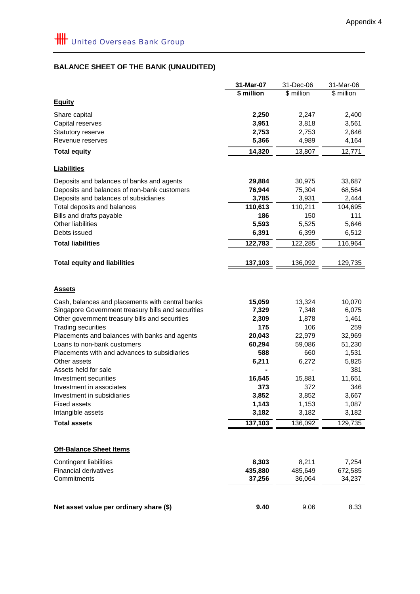# **BALANCE SHEET OF THE BANK (UNAUDITED)**

|                                                    | 31-Mar-07     | 31-Dec-06     | 31-Mar-06     |
|----------------------------------------------------|---------------|---------------|---------------|
|                                                    | \$ million    | \$ million    | \$ million    |
| <b>Equity</b>                                      |               |               |               |
| Share capital                                      | 2,250         | 2,247         | 2,400         |
| Capital reserves                                   | 3,951         | 3,818         | 3,561         |
| Statutory reserve                                  | 2,753         | 2,753         | 2,646         |
| Revenue reserves                                   | 5,366         | 4,989         | 4,164         |
| <b>Total equity</b>                                | 14,320        | 13,807        | 12,771        |
| <b>Liabilities</b>                                 |               |               |               |
| Deposits and balances of banks and agents          | 29,884        | 30,975        | 33,687        |
| Deposits and balances of non-bank customers        | 76,944        | 75,304        | 68,564        |
| Deposits and balances of subsidiaries              | 3,785         | 3,931         | 2,444         |
| Total deposits and balances                        | 110,613       | 110,211       | 104,695       |
| Bills and drafts payable                           | 186           | 150           | 111           |
| Other liabilities                                  | 5,593         | 5,525         | 5,646         |
| Debts issued                                       | 6,391         | 6,399         | 6,512         |
| <b>Total liabilities</b>                           | 122,783       | 122,285       | 116,964       |
| <b>Total equity and liabilities</b>                | 137,103       | 136,092       | 129,735       |
|                                                    |               |               |               |
| <b>Assets</b>                                      |               |               |               |
| Cash, balances and placements with central banks   | 15,059        | 13,324        | 10,070        |
| Singapore Government treasury bills and securities | 7,329         | 7,348         | 6,075         |
| Other government treasury bills and securities     | 2,309         | 1,878         | 1,461         |
| <b>Trading securities</b>                          | 175           | 106           | 259           |
| Placements and balances with banks and agents      | 20,043        | 22,979        | 32,969        |
| Loans to non-bank customers                        | 60,294        | 59,086        | 51,230        |
| Placements with and advances to subsidiaries       | 588           | 660           | 1,531         |
| Other assets                                       | 6,211         | 6,272         | 5,825         |
| Assets held for sale                               |               |               | 381           |
| Investment securities<br>Investment in associates  | 16,545<br>373 | 15,881<br>372 | 11,651<br>346 |
| Investment in subsidiaries                         | 3,852         | 3,852         | 3,667         |
| <b>Fixed assets</b>                                | 1,143         | 1,153         | 1,087         |
| Intangible assets                                  | 3,182         | 3,182         | 3,182         |
| <b>Total assets</b>                                | 137,103       | 136,092       | 129,735       |
|                                                    |               |               |               |
| <b>Off-Balance Sheet Items</b>                     |               |               |               |
| <b>Contingent liabilities</b>                      | 8,303         | 8,211         | 7,254         |
| <b>Financial derivatives</b>                       | 435,880       | 485,649       | 672,585       |
| Commitments                                        | 37,256        | 36,064        | 34,237        |
|                                                    |               |               |               |
| Net asset value per ordinary share (\$)            | 9.40          | 9.06          | 8.33          |